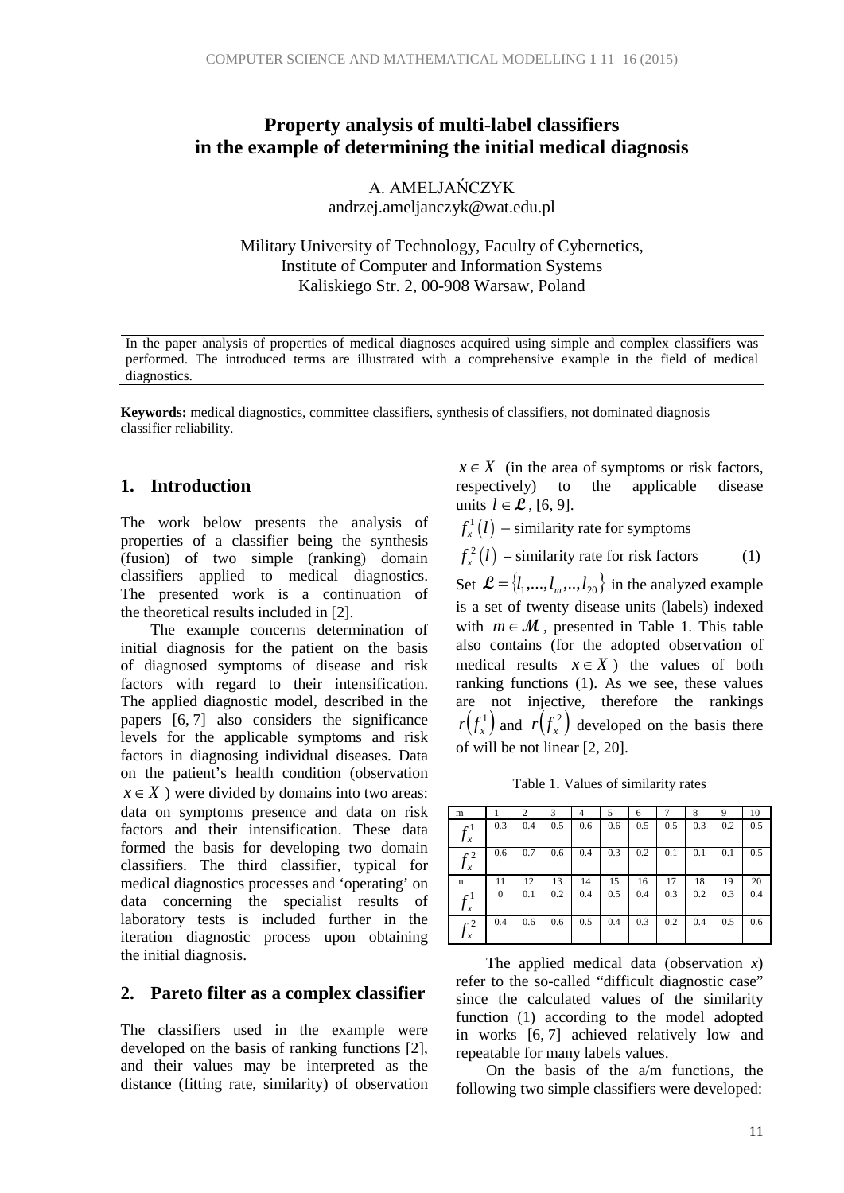# **Property analysis of multi-label classifiers in the example of determining the initial medical diagnosis**

A. AMELJAŃCZYK andrzej.ameljanczyk@wat.edu.pl

Military University of Technology, Faculty of Cybernetics, Institute of Computer and Information Systems Kaliskiego Str. 2, 00-908 Warsaw, Poland

In the paper analysis of properties of medical diagnoses acquired using simple and complex classifiers was performed. The introduced terms are illustrated with a comprehensive example in the field of medical diagnostics.

**Keywords:** medical diagnostics, committee classifiers, synthesis of classifiers, not dominated diagnosis classifier reliability.

## **1. Introduction**

The work below presents the analysis of properties of a classifier being the synthesis (fusion) of two simple (ranking) domain classifiers applied to medical diagnostics. The presented work is a continuation of the theoretical results included in [2].

The example concerns determination of initial diagnosis for the patient on the basis of diagnosed symptoms of disease and risk factors with regard to their intensification. The applied diagnostic model, described in the papers [6, 7] also considers the significance levels for the applicable symptoms and risk factors in diagnosing individual diseases. Data on the patient's health condition (observation  $x \in X$ ) were divided by domains into two areas: data on symptoms presence and data on risk factors and their intensification. These data formed the basis for developing two domain classifiers. The third classifier, typical for medical diagnostics processes and 'operating' on data concerning the specialist results of laboratory tests is included further in the iteration diagnostic process upon obtaining the initial diagnosis.

#### **2. Pareto filter as a complex classifier**

The classifiers used in the example were developed on the basis of ranking functions [2], and their values may be interpreted as the distance (fitting rate, similarity) of observation

 $x \in X$  (in the area of symptoms or risk factors, respectively) to the applicable disease units  $l \in \mathcal{L}$ , [6, 9].

 $f_{x}^{1}\left( l\right) -$  similarity rate for symptoms

 $f_x^2(l)$  – similarity rate for risk factors (1)

Set  $\mathcal{L} = \{l_1, ..., l_m, ..., l_{20}\}\$ in the analyzed example is a set of twenty disease units (labels) indexed with  $m \in \mathcal{M}$ , presented in Table 1. This table also contains (for the adopted observation of medical results  $x \in X$  ) the values of both ranking functions (1). As we see, these values are not injective, therefore the rankings  $r(f_x^1)$  and  $r(f_x^2)$  developed on the basis there of will be not linear [2, 20].

Table 1. Values of similarity rates

| m                |              | $\overline{2}$ | 3   | 4   | 5   | 6   | 7   | 8   | 9   | 10  |
|------------------|--------------|----------------|-----|-----|-----|-----|-----|-----|-----|-----|
| $f^1$<br>$J_x$   | 0.3          | 0.4            | 0.5 | 0.6 | 0.6 | 0.5 | 0.5 | 0.3 | 0.2 | 0.5 |
| $f^2$<br>$J_{x}$ | 0.6          | 0.7            | 0.6 | 0.4 | 0.3 | 0.2 | 0.1 | 0.1 | 0.1 | 0.5 |
| m                | 11           | 12             | 13  | 14  | 15  | 16  | 17  | 18  | 19  | 20  |
| $f^1$<br>$J_{x}$ | $\mathbf{0}$ | 0.1            | 0.2 | 0.4 | 0.5 | 0.4 | 0.3 | 0.2 | 0.3 | 0.4 |
| $f_x^2$          | 0.4          | 0.6            | 0.6 | 0.5 | 0.4 | 0.3 | 0.2 | 0.4 | 0.5 | 0.6 |

The applied medical data (observation *x*) refer to the so-called "difficult diagnostic case" since the calculated values of the similarity function (1) according to the model adopted in works [6, 7] achieved relatively low and repeatable for many labels values.

On the basis of the a/m functions, the following two simple classifiers were developed: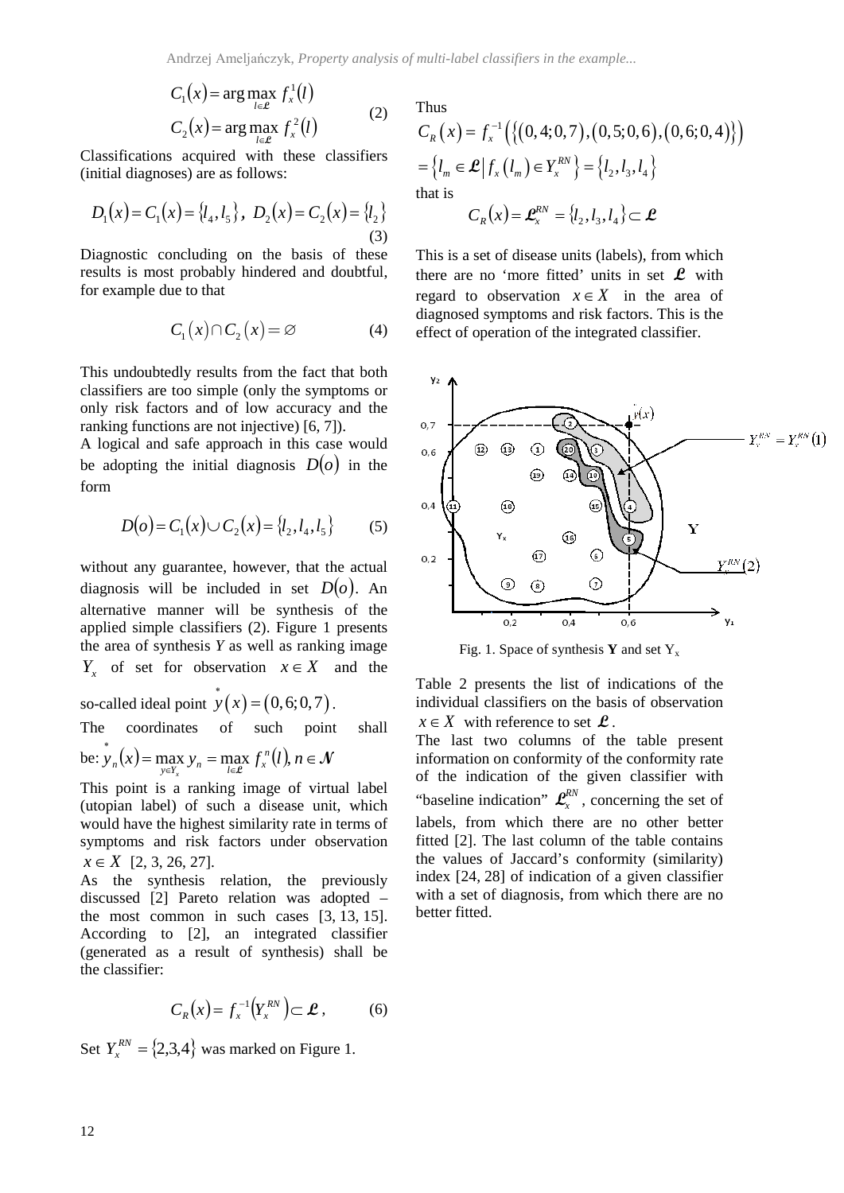$$
C_1(x) = \arg\max_{l \in \mathcal{L}} f_x^1(l)
$$
  
\n
$$
C_2(x) = \arg\max_{l \in \mathcal{L}} f_x^2(l)
$$
 (2)

Classifications acquired with these classifiers (initial diagnoses) are as follows:

$$
D_1(x) = C_1(x) = \{l_4, l_5\}, \ D_2(x) = C_2(x) = \{l_2\}
$$
\n(3)

Diagnostic concluding on the basis of these results is most probably hindered and doubtful, for example due to that

$$
C_1(x) \cap C_2(x) = \varnothing \tag{4}
$$

This undoubtedly results from the fact that both classifiers are too simple (only the symptoms or only risk factors and of low accuracy and the ranking functions are not injective) [6, 7]).

A logical and safe approach in this case would be adopting the initial diagnosis  $D(o)$  in the form

$$
D(o) = C_1(x) \cup C_2(x) = \{l_2, l_4, l_5\}
$$
 (5)

without any guarantee, however, that the actual diagnosis will be included in set  $D(o)$ . An alternative manner will be synthesis of the applied simple classifiers (2). Figure 1 presents the area of synthesis *Y* as well as ranking image *Y<sub>x</sub>* of set for observation  $x \in X$  and the

so-called ideal point  $\dot{y}(x) = (0,6;0,7)$ .

The coordinates of such point shall

be: 
$$
\dot{y}_n(x) = \max_{y \in Y_x} y_n = \max_{l \in \mathcal{L}} f_x^n(l), n \in \mathcal{N}
$$

This point is a ranking image of virtual label (utopian label) of such a disease unit, which would have the highest similarity rate in terms of symptoms and risk factors under observation  $x \in X$  [2, 3, 26, 27].

As the synthesis relation, the previously discussed [2] Pareto relation was adopted – the most common in such cases [3, 13, 15]. According to [2], an integrated classifier (generated as a result of synthesis) shall be the classifier:

$$
C_R(x) = f_x^{-1}(Y_x^{RN}) \subset \mathcal{L}, \quad (6)
$$

Set  $Y_x^{RN} = \{2,3,4\}$  was marked on Figure 1.

Thus  
\n
$$
C_R(x) = f_x^{-1}(\{(0,4;0,7), (0,5;0,6), (0,6;0,4)\})
$$
\n
$$
= \{l_m \in \mathcal{L} | f_x(l_m) \in Y_x^{RN}\} = \{l_2, l_3, l_4\}
$$
\nthat is\n
$$
C_R(x) = \mathcal{L}_x^{RN} = \{l_2, l_3, l_4\} \subset \mathcal{L}
$$

This is a set of disease units (labels), from which there are no 'more fitted' units in set  $\mathcal{L}$  with regard to observation  $x \in X$  in the area of diagnosed symptoms and risk factors. This is the effect of operation of the integrated classifier.



Fig. 1. Space of synthesis **Y** and set Y<sub>x</sub>

Table 2 presents the list of indications of the individual classifiers on the basis of observation  $x \in X$  with reference to set  $\mathcal{L}$ .

The last two columns of the table present information on conformity of the conformity rate of the indication of the given classifier with "baseline indication"  $\mathbf{L}_x^{RN}$ , concerning the set of labels, from which there are no other better fitted [2]. The last column of the table contains the values of Jaccard's conformity (similarity) index [24, 28] of indication of a given classifier with a set of diagnosis, from which there are no better fitted.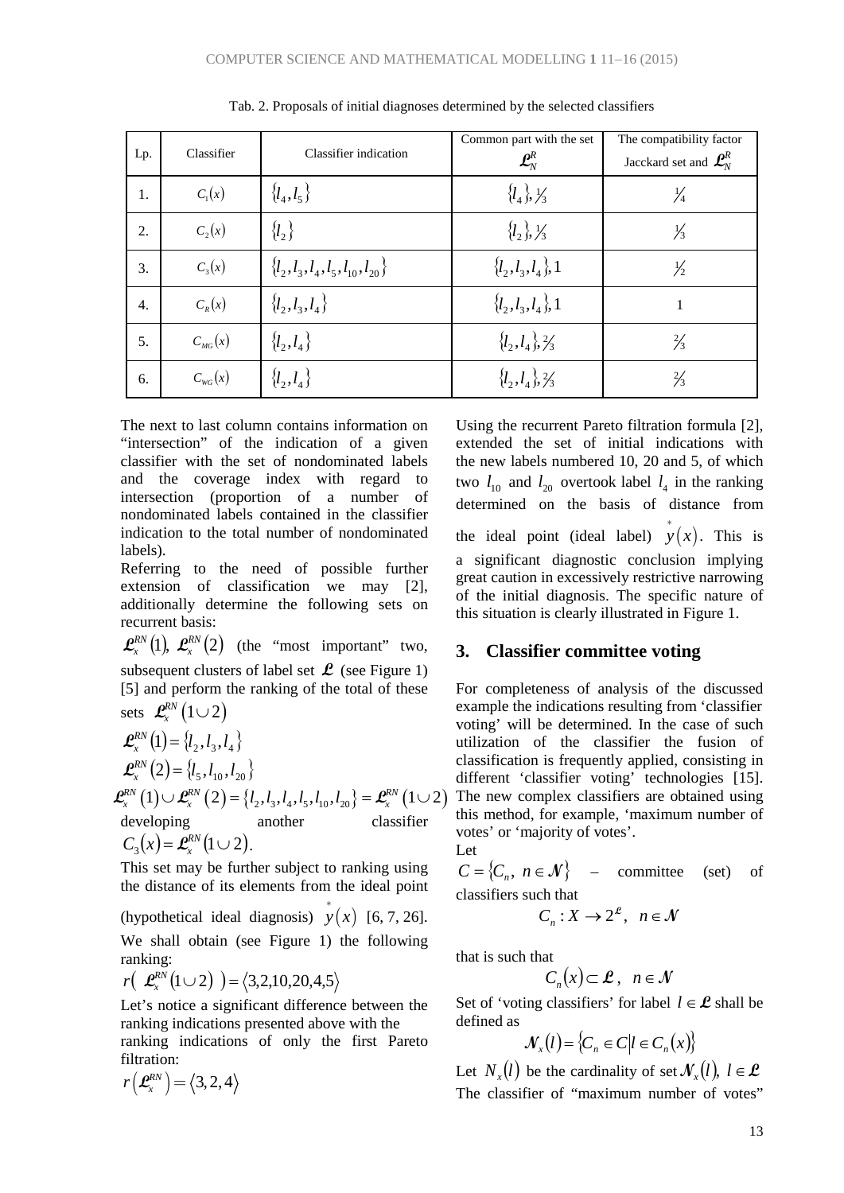| Lp.              | Classifier         | Classifier indication                     | Common part with the set<br>$\mathbf{\mathcal{L}}_{\!N}^{\!R}$ | The compatibility factor<br>Jacckard set and $\mathbf{\mathcal{L}}_{N}^{R}$ |
|------------------|--------------------|-------------------------------------------|----------------------------------------------------------------|-----------------------------------------------------------------------------|
| 1.               | $C_1(x)$           | $\{l_4, l_5\}$                            | $\{l_4\},\frac{1}{3}$                                          | $\frac{1}{4}$                                                               |
| 2.               | $C_2(x)$           | $\{l_2\}$                                 | $\{l_2\}$ , $\frac{1}{3}$                                      | $\frac{1}{3}$                                                               |
| 3.               | $C_3(x)$           | $\{l_2, l_3, l_4, l_5, l_{10}, l_{20}\}\$ | $\{l_2, l_3, l_4\}, 1$                                         | $\frac{1}{2}$                                                               |
| $\overline{4}$ . | $C_{R}(x)$         | $\{l_2, l_3, l_4\}$                       | $\{l_2, l_3, l_4\}, 1$                                         | 1                                                                           |
| 5.               | $C_{_{MG}}(x)$     | $\{l_2, l_4\}$                            | $\{l_2, l_4\}$ , $\frac{2}{3}$                                 | $\frac{2}{3}$                                                               |
| 6.               | $C_{\text{wc}}(x)$ | ${l_2, l_4}$                              | $\{l_2, l_4\}$ , $\frac{2}{3}$                                 | $\frac{2}{3}$                                                               |

Tab. 2. Proposals of initial diagnoses determined by the selected classifiers

The next to last column contains information on "intersection" of the indication of a given classifier with the set of nondominated labels and the coverage index with regard to intersection (proportion of a number of nondominated labels contained in the classifier indication to the total number of nondominated labels).

Referring to the need of possible further extension of classification we may [2], additionally determine the following sets on recurrent basis:

 $\mathbf{\mathcal{L}}_{x}^{RN}(1), \ \mathbf{\mathcal{L}}_{x}^{RN}(2)$  (the "most important" two, subsequent clusters of label set  $\mathcal{L}$  (see Figure 1) [5] and perform the ranking of the total of these sets  $\mathcal{L}^{RN}(1\cup 2)$ 

$$
\mathcal{L}_{x}^{RN}(1) = \{l_{2}, l_{3}, l_{4}\}\n\mathcal{L}_{x}^{RN}(2) = \{l_{5}, l_{10}, l_{20}\}\n\mathcal{L}_{x}^{RN}(1) \cup \mathcal{L}_{x}^{RN}(2) = \{l_{2}, l_{3}, l_{4}, l_{5}, l_{10}, l_{20}\} = \mathcal{L}_{x}^{RN}(1 \cup 2)\n\text{developing}\n\qquad\n\text{another}\nC_{3}(x) = \mathcal{L}_{x}^{RN}(1 \cup 2).
$$

This set may be further subject to ranking using the distance of its elements from the ideal point

(hypothetical ideal diagnosis)  $\dot{y}(x)$  [6, 7, 26]. We shall obtain (see Figure 1) the following ranking:

$$
r\left(\mathcal{L}_x^{RN}\big(1\cup2\big)\right)=\big\langle3,2,10,20,4,5\big\rangle
$$

Let's notice a significant difference between the ranking indications presented above with the ranking indications of only the first Pareto filtration:

$$
r\left(\textbf{\textit{L}}^{RN}_{x}\right)=\left\langle 3,2,4\right\rangle
$$

Using the recurrent Pareto filtration formula [2], extended the set of initial indications with the new labels numbered 10, 20 and 5, of which two  $l_{10}$  and  $l_{20}$  overtook label  $l_4$  in the ranking determined on the basis of distance from the ideal point (ideal label)  $\dot{y}(x)$ . This is a significant diagnostic conclusion implying great caution in excessively restrictive narrowing of the initial diagnosis. The specific nature of this situation is clearly illustrated in Figure 1.

### **3. Classifier committee voting**

For completeness of analysis of the discussed example the indications resulting from 'classifier voting' will be determined. In the case of such utilization of the classifier the fusion of classification is frequently applied, consisting in different 'classifier' voting' technologies [15]. The new complex classifiers are obtained using this method, for example, 'maximum number of votes' or 'majority of votes'.

Let

 $C = \{C_n, n \in \mathcal{N}\}\$  – committee (set) of classifiers such that

$$
C_n: X \to 2^{\mathcal{L}}, \quad n \in \mathcal{N}
$$

that is such that

$$
C_n(x) \subset \mathcal{L}, \ \ n \in \mathcal{N}
$$

Set of 'voting classifiers' for label  $l \in \mathcal{L}$  shall be defined as

$$
\mathcal{N}_x(l) = \{C_n \in C | l \in C_n(x) \}
$$

Let  $N_r(l)$  be the cardinality of set  $\mathcal{N}_r(l)$ ,  $l \in \mathcal{L}$ The classifier of "maximum number of votes"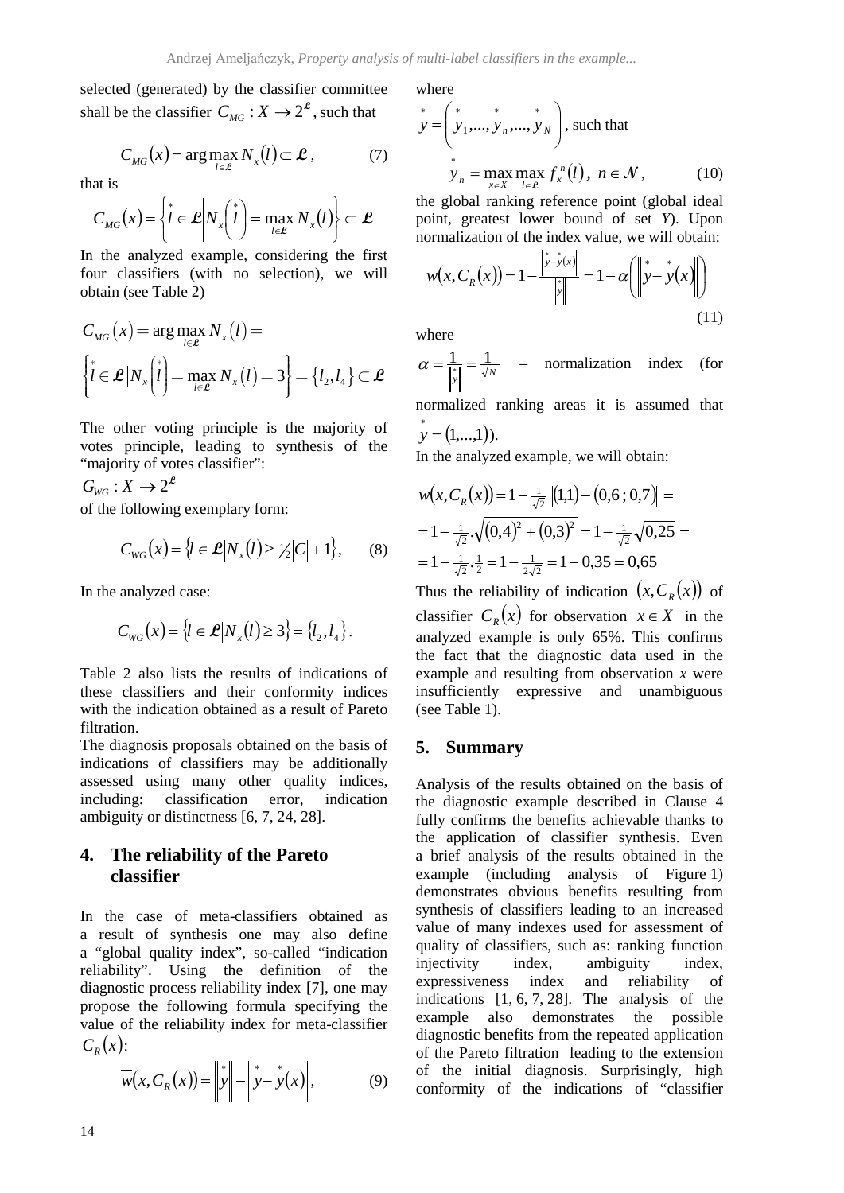selected (generated) by the classifier committee shall be the classifier  $C_{MG}: X \rightarrow 2^e$ , such that

$$
C_{MG}(x) = \arg\max_{l \in \mathcal{L}} N_x(l) \subset \mathcal{L},\tag{7}
$$

that is

$$
C_{MG}(x) = \left\{ \vec{l} \in \mathcal{L} \middle| N_x \left( \vec{l} \right) = \max_{l \in \mathcal{L}} N_x \left( l \right) \right\} \subset \mathcal{L}
$$

In the analyzed example, considering the first four classifiers (with no selection), we will obtain (see Table 2)

$$
C_{MG}(x) = \arg\max_{l \in \mathcal{L}} N_x(l) =
$$
  

$$
\left\{ l \in \mathcal{L} | N_x \binom{i}{l} = \max_{l \in \mathcal{L}} N_x(l) = 3 \right\} = \left\{ l_2, l_4 \right\} \subset \mathcal{L}
$$

The other voting principle is the majority of votes principle, leading to synthesis of the "majority of votes classifier":

 $G_{\text{wc}}: X \to 2^{\mathcal{L}}$ 

of the following exemplary form:

$$
C_{WG}(x) = \{l \in \mathcal{L}|N_x(l) \geq 1/2|C|+1\},\qquad(8)
$$

In the analyzed case:

$$
C_{WG}(x) = \{l \in \mathcal{L} | N_x(l) \ge 3\} = \{l_2, l_4\}.
$$

Table 2 also lists the results of indications of these classifiers and their conformity indices with the indication obtained as a result of Pareto filtration.

The diagnosis proposals obtained on the basis of indications of classifiers may be additionally assessed using many other quality indices, including: classification error, indication ambiguity or distinctness [6, 7, 24, 28].

## **4. The reliability of the Pareto classifier**

In the case of meta-classifiers obtained as a result of synthesis one may also define a "global quality index", so-called "indication reliability". Using the definition of the diagnostic process reliability index [7], one may propose the following formula specifying the value of the reliability index for meta-classifier  $C_p(x)$ :

$$
\overline{w}(x, C_R(x)) = \|y\| - \|y - y(x)\|,
$$
 (9)

where

$$
\dot{y} = \begin{pmatrix} * & * & * \\ y_1, ..., y_n, ..., y_N \end{pmatrix}, \text{ such that}
$$
\n
$$
\dot{y}_n = \max_{x \in X} \max_{l \in \mathcal{L}} f_x^n(l), \ n \in \mathcal{N}, \tag{10}
$$

the global ranking reference point (global ideal point, greatest lower bound of set *Y*). Upon normalization of the index value, we will obtain:

$$
w(x, C_R(x)) = 1 - \frac{\left\| y - y(x) \right\|}{\left\| y \right\|} = 1 - \alpha \left( \left\| y - y(x) \right\| \right) \tag{11}
$$

where

 $\alpha = \frac{1}{\|\mathbf{y}\|} = \frac{1}{\sqrt{N}}$  – normalization index (for normalized ranking areas it is assumed that

 $y = (1,...,1)).$ 

In the analyzed example, we will obtain:

$$
w(x, C_R(x)) = 1 - \frac{1}{\sqrt{2}} \|(1,1) - (0,6; 0,7)\| =
$$
  
=  $1 - \frac{1}{\sqrt{2}} \sqrt{(0,4)^2 + (0,3)^2} = 1 - \frac{1}{\sqrt{2}} \sqrt{0,25} =$   
=  $1 - \frac{1}{\sqrt{2}} \cdot \frac{1}{2} = 1 - \frac{1}{2\sqrt{2}} = 1 - 0,35 = 0,65$ 

Thus the reliability of indication  $(x, C_R(x))$  of classifier  $C_R(x)$  for observation  $x \in X$  in the analyzed example is only 65%. This confirms the fact that the diagnostic data used in the example and resulting from observation *x* were insufficiently expressive and unambiguous (see Table 1).

## **5. Summary**

Analysis of the results obtained on the basis of the diagnostic example described in Clause 4 fully confirms the benefits achievable thanks to the application of classifier synthesis. Even a brief analysis of the results obtained in the example (including analysis of Figure 1) demonstrates obvious benefits resulting from synthesis of classifiers leading to an increased value of many indexes used for assessment of quality of classifiers, such as: ranking function injectivity index, ambiguity index, expressiveness index and reliability of indications [1, 6, 7, 28]. The analysis of the example also demonstrates the possible diagnostic benefits from the repeated application of the Pareto filtration leading to the extension of the initial diagnosis. Surprisingly, high conformity of the indications of "classifier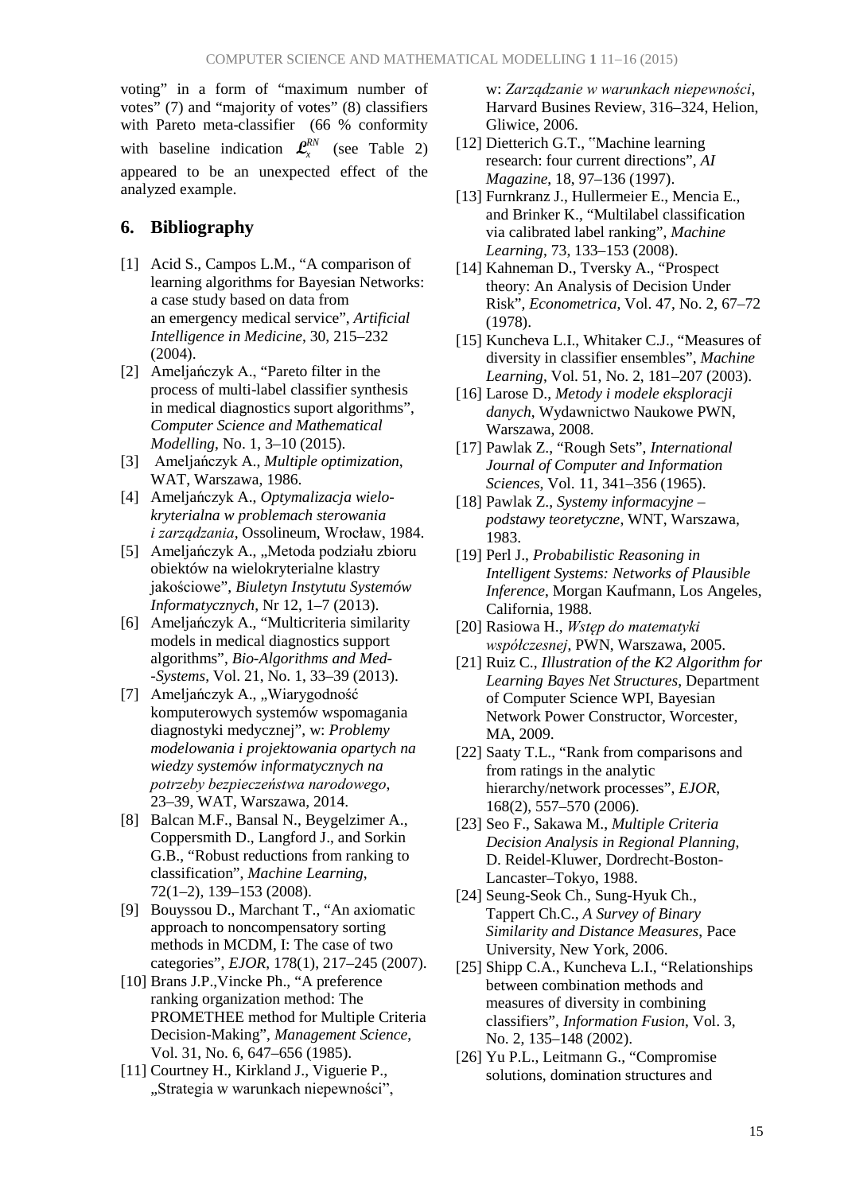voting" in a form of "maximum number of votes" (7) and "majority of votes" (8) classifiers with Pareto meta-classifier (66 % conformity with baseline indication  $\mathcal{L}^{RN}_{\mathcal{L}}$  (see Table 2) appeared to be an unexpected effect of the analyzed example.

## **6. Bibliography**

- [1] Acid S., Campos L.M., "A comparison of learning algorithms for Bayesian Networks: a case study based on data from an emergency medical service", *Artificial Intelligence in Medicine*, 30, 215–232 (2004).
- [2] Ameljańczyk A., "Pareto filter in the process of multi-label classifier synthesis in medical diagnostics suport algorithms", *Computer Science and Mathematical Modelling*, No. 1, 3–10 (2015).
- [3] Ameljańczyk A., *Multiple optimization*, WAT, Warszawa, 1986.
- [4] Ameljańczyk A., *Optymalizacja wielokryterialna w problemach sterowania i zarządzania*, Ossolineum, Wrocław, 1984.
- [5] Ameljańczyk A., "Metoda podziału zbioru obiektów na wielokryterialne klastry jakościowe", *Biuletyn Instytutu Systemów Informatycznych*, Nr 12, 1–7 (2013).
- [6] Ameljańczyk A., "Multicriteria similarity models in medical diagnostics support algorithms", *Bio-Algorithms and Med- -Systems*, Vol. 21, No. 1, 33–39 (2013).
- [7] Ameljańczyk A., "Wiarygodność komputerowych systemów wspomagania diagnostyki medycznej", w: *Problemy modelowania i projektowania opartych na wiedzy systemów informatycznych na potrzeby bezpieczeństwa narodowego*, 23–39, WAT, Warszawa, 2014.
- [8] Balcan M.F., Bansal N., Beygelzimer A., Coppersmith D., Langford J., and Sorkin G.B., "Robust reductions from ranking to classification", *Machine Learning*, 72(1–2), 139–153 (2008).
- [9] Bouyssou D., Marchant T., "An axiomatic approach to noncompensatory sorting methods in MCDM, I: The case of two categories", *EJOR*, 178(1), 217–245 (2007).
- [10] Brans J.P.,Vincke Ph., "A preference ranking organization method: The PROMETHEE method for Multiple Criteria Decision-Making", *Management Science*, Vol. 31, No. 6, 647–656 (1985).
- [11] Courtney H., Kirkland J., Viguerie P., "Strategia w warunkach niepewności",

w: *Zarządzanie w warunkach niepewności*, Harvard Busines Review, 316–324, Helion, Gliwice, 2006.

- [12] Dietterich G.T., "Machine learning research: four current directions", *AI Magazine*, 18, 97–136 (1997).
- [13] Furnkranz J., Hullermeier E., Mencia E., and Brinker K., "Multilabel classification via calibrated label ranking", *Machine Learning*, 73, 133–153 (2008).
- [14] Kahneman D., Tversky A., "Prospect theory: An Analysis of Decision Under Risk", *Econometrica*, Vol. 47, No. 2, 67–72 (1978).
- [15] Kuncheva L.I., Whitaker C.J., "Measures of diversity in classifier ensembles", *Machine Learning*, Vol. 51, No. 2, 181–207 (2003).
- [16] Larose D., *Metody i modele eksploracji danych*, Wydawnictwo Naukowe PWN, Warszawa, 2008.
- [17] Pawlak Z., "Rough Sets", *International Journal of Computer and Information Sciences*, Vol. 11, 341–356 (1965).
- [18] Pawlak Z., *Systemy informacyjne – podstawy teoretyczne*, WNT, Warszawa, 1983.
- [19] Perl J., *Probabilistic Reasoning in Intelligent Systems: Networks of Plausible Inference*, Morgan Kaufmann, Los Angeles, California, 1988.
- [20] Rasiowa H., *Wstęp do matematyki współczesnej*, PWN, Warszawa, 2005.
- [21] Ruiz C., *Illustration of the K2 Algorithm for Learning Bayes Net Structures*, Department of Computer Science WPI, Bayesian Network Power Constructor, Worcester, MA, 2009.
- [22] Saaty T.L., "Rank from comparisons and from ratings in the analytic hierarchy/network processes", *EJOR*, 168(2), 557–570 (2006).
- [23] Seo F., Sakawa M., *Multiple Criteria Decision Analysis in Regional Planning*, D. Reidel-Kluwer, Dordrecht-Boston-Lancaster–Tokyo, 1988.
- [24] Seung-Seok Ch., Sung-Hyuk Ch., Tappert Ch.C., *A Survey of Binary Similarity and Distance Measures*, Pace University, New York, 2006.
- [25] Shipp C.A., Kuncheva L.I., "Relationships between combination methods and measures of diversity in combining classifiers", *Information Fusion*, Vol. 3, No. 2, 135–148 (2002).
- [26] Yu P.L., Leitmann G., "Compromise solutions, domination structures and